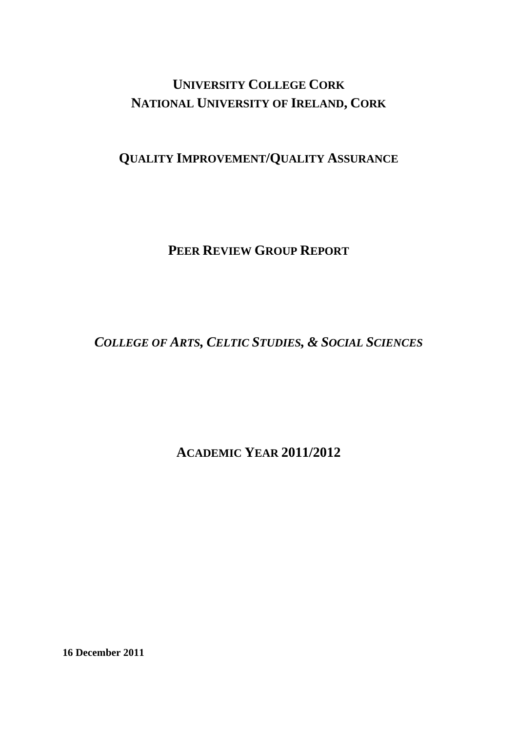# **UNIVERSITY COLLEGE CORK NATIONAL UNIVERSITY OF IRELAND, CORK**

## **QUALITY IMPROVEMENT/QUALITY ASSURANCE**

### **PEER REVIEW GROUP REPORT**

# *COLLEGE OF ARTS, CELTIC STUDIES, & SOCIAL SCIENCES*

### **ACADEMIC YEAR 2011/2012**

**16 December 2011**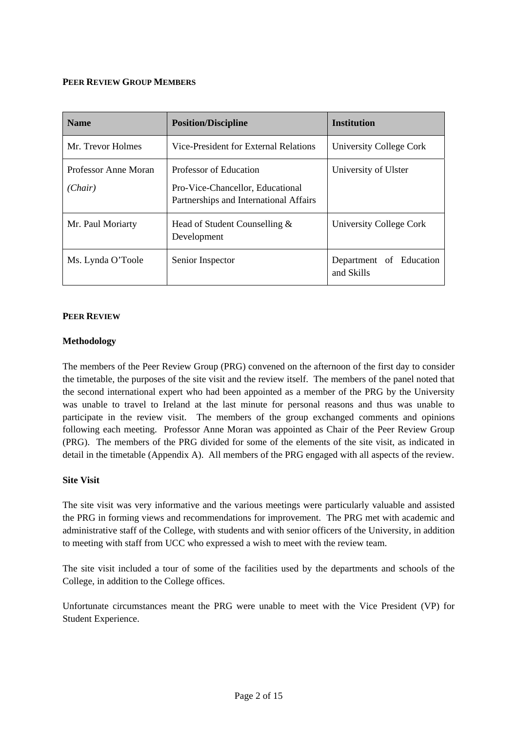#### **PEER REVIEW GROUP MEMBERS**

| <b>Name</b>                     | <b>Position/Discipline</b>                                                                           | <b>Institution</b>                    |
|---------------------------------|------------------------------------------------------------------------------------------------------|---------------------------------------|
| Mr. Trevor Holmes               | Vice-President for External Relations                                                                | University College Cork               |
| Professor Anne Moran<br>(Chair) | Professor of Education<br>Pro-Vice-Chancellor, Educational<br>Partnerships and International Affairs | University of Ulster                  |
| Mr. Paul Moriarty               | Head of Student Counselling &<br>Development                                                         | University College Cork               |
| Ms. Lynda O'Toole               | Senior Inspector                                                                                     | Department of Education<br>and Skills |

#### **PEER REVIEW**

#### **Methodology**

The members of the Peer Review Group (PRG) convened on the afternoon of the first day to consider the timetable, the purposes of the site visit and the review itself. The members of the panel noted that the second international expert who had been appointed as a member of the PRG by the University was unable to travel to Ireland at the last minute for personal reasons and thus was unable to participate in the review visit. The members of the group exchanged comments and opinions following each meeting. Professor Anne Moran was appointed as Chair of the Peer Review Group (PRG). The members of the PRG divided for some of the elements of the site visit, as indicated in detail in the timetable (Appendix A). All members of the PRG engaged with all aspects of the review.

#### **Site Visit**

The site visit was very informative and the various meetings were particularly valuable and assisted the PRG in forming views and recommendations for improvement. The PRG met with academic and administrative staff of the College, with students and with senior officers of the University, in addition to meeting with staff from UCC who expressed a wish to meet with the review team.

The site visit included a tour of some of the facilities used by the departments and schools of the College, in addition to the College offices.

Unfortunate circumstances meant the PRG were unable to meet with the Vice President (VP) for Student Experience.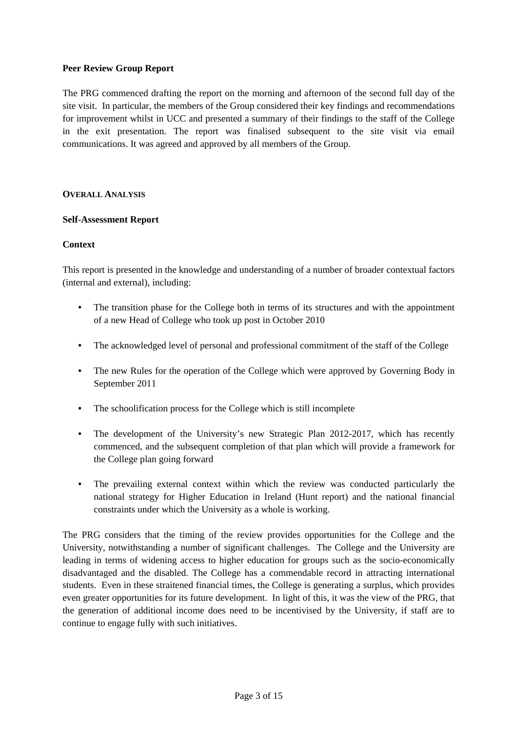#### **Peer Review Group Report**

The PRG commenced drafting the report on the morning and afternoon of the second full day of the site visit. In particular, the members of the Group considered their key findings and recommendations for improvement whilst in UCC and presented a summary of their findings to the staff of the College in the exit presentation. The report was finalised subsequent to the site visit via email communications. It was agreed and approved by all members of the Group.

#### **OVERALL ANALYSIS**

#### **Self-Assessment Report**

#### **Context**

This report is presented in the knowledge and understanding of a number of broader contextual factors (internal and external), including:

- The transition phase for the College both in terms of its structures and with the appointment of a new Head of College who took up post in October 2010
- The acknowledged level of personal and professional commitment of the staff of the College
- The new Rules for the operation of the College which were approved by Governing Body in September 2011
- The schoolification process for the College which is still incomplete
- The development of the University's new Strategic Plan 2012-2017, which has recently commenced, and the subsequent completion of that plan which will provide a framework for the College plan going forward
- The prevailing external context within which the review was conducted particularly the national strategy for Higher Education in Ireland (Hunt report) and the national financial constraints under which the University as a whole is working.

The PRG considers that the timing of the review provides opportunities for the College and the University, notwithstanding a number of significant challenges. The College and the University are leading in terms of widening access to higher education for groups such as the socio-economically disadvantaged and the disabled. The College has a commendable record in attracting international students. Even in these straitened financial times, the College is generating a surplus, which provides even greater opportunities for its future development. In light of this, it was the view of the PRG, that the generation of additional income does need to be incentivised by the University, if staff are to continue to engage fully with such initiatives.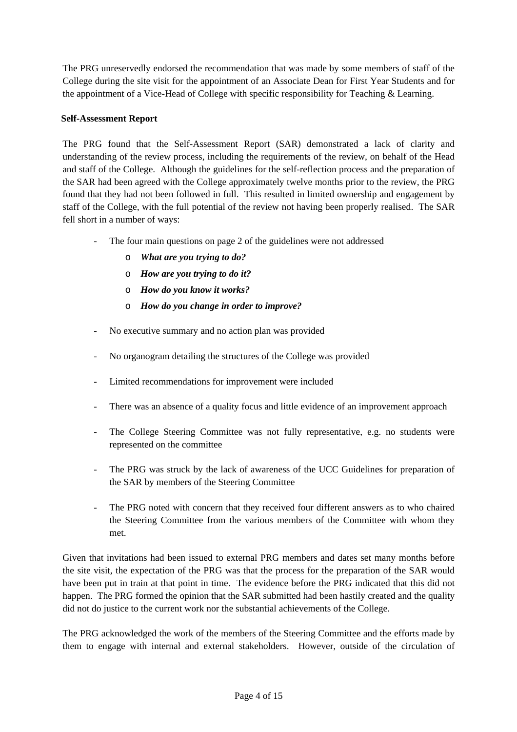The PRG unreservedly endorsed the recommendation that was made by some members of staff of the College during the site visit for the appointment of an Associate Dean for First Year Students and for the appointment of a Vice-Head of College with specific responsibility for Teaching & Learning.

#### **Self-Assessment Report**

The PRG found that the Self-Assessment Report (SAR) demonstrated a lack of clarity and understanding of the review process, including the requirements of the review, on behalf of the Head and staff of the College. Although the guidelines for the self-reflection process and the preparation of the SAR had been agreed with the College approximately twelve months prior to the review, the PRG found that they had not been followed in full. This resulted in limited ownership and engagement by staff of the College, with the full potential of the review not having been properly realised. The SAR fell short in a number of ways:

- The four main questions on page 2 of the guidelines were not addressed
	- o *What are you trying to do?*
	- o *How are you trying to do it?*
	- o *How do you know it works?*
	- o *How do you change in order to improve?*
- No executive summary and no action plan was provided
- No organogram detailing the structures of the College was provided
- Limited recommendations for improvement were included
- There was an absence of a quality focus and little evidence of an improvement approach
- The College Steering Committee was not fully representative, e.g. no students were represented on the committee
- The PRG was struck by the lack of awareness of the UCC Guidelines for preparation of the SAR by members of the Steering Committee
- The PRG noted with concern that they received four different answers as to who chaired the Steering Committee from the various members of the Committee with whom they met.

Given that invitations had been issued to external PRG members and dates set many months before the site visit, the expectation of the PRG was that the process for the preparation of the SAR would have been put in train at that point in time. The evidence before the PRG indicated that this did not happen. The PRG formed the opinion that the SAR submitted had been hastily created and the quality did not do justice to the current work nor the substantial achievements of the College.

The PRG acknowledged the work of the members of the Steering Committee and the efforts made by them to engage with internal and external stakeholders. However, outside of the circulation of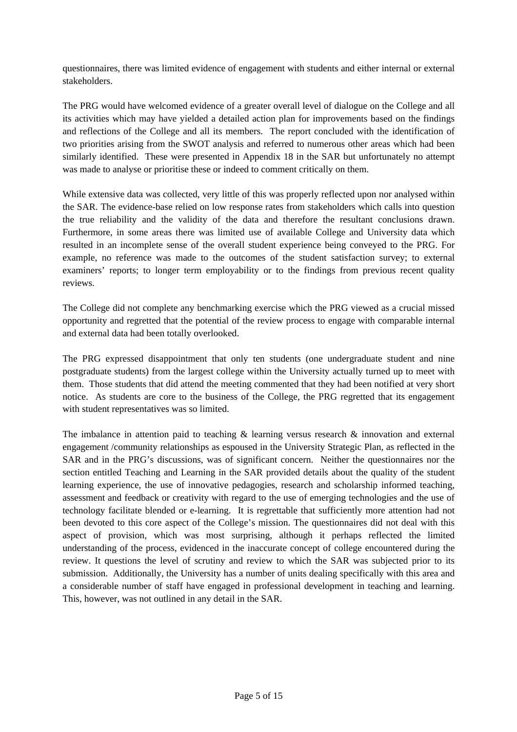questionnaires, there was limited evidence of engagement with students and either internal or external stakeholders.

The PRG would have welcomed evidence of a greater overall level of dialogue on the College and all its activities which may have yielded a detailed action plan for improvements based on the findings and reflections of the College and all its members. The report concluded with the identification of two priorities arising from the SWOT analysis and referred to numerous other areas which had been similarly identified. These were presented in Appendix 18 in the SAR but unfortunately no attempt was made to analyse or prioritise these or indeed to comment critically on them.

While extensive data was collected, very little of this was properly reflected upon nor analysed within the SAR. The evidence-base relied on low response rates from stakeholders which calls into question the true reliability and the validity of the data and therefore the resultant conclusions drawn. Furthermore, in some areas there was limited use of available College and University data which resulted in an incomplete sense of the overall student experience being conveyed to the PRG. For example, no reference was made to the outcomes of the student satisfaction survey; to external examiners' reports; to longer term employability or to the findings from previous recent quality reviews.

The College did not complete any benchmarking exercise which the PRG viewed as a crucial missed opportunity and regretted that the potential of the review process to engage with comparable internal and external data had been totally overlooked.

The PRG expressed disappointment that only ten students (one undergraduate student and nine postgraduate students) from the largest college within the University actually turned up to meet with them. Those students that did attend the meeting commented that they had been notified at very short notice. As students are core to the business of the College, the PRG regretted that its engagement with student representatives was so limited.

The imbalance in attention paid to teaching  $\&$  learning versus research  $\&$  innovation and external engagement /community relationships as espoused in the University Strategic Plan, as reflected in the SAR and in the PRG's discussions, was of significant concern. Neither the questionnaires nor the section entitled Teaching and Learning in the SAR provided details about the quality of the student learning experience, the use of innovative pedagogies, research and scholarship informed teaching, assessment and feedback or creativity with regard to the use of emerging technologies and the use of technology facilitate blended or e-learning. It is regrettable that sufficiently more attention had not been devoted to this core aspect of the College's mission. The questionnaires did not deal with this aspect of provision, which was most surprising, although it perhaps reflected the limited understanding of the process, evidenced in the inaccurate concept of college encountered during the review. It questions the level of scrutiny and review to which the SAR was subjected prior to its submission. Additionally, the University has a number of units dealing specifically with this area and a considerable number of staff have engaged in professional development in teaching and learning. This, however, was not outlined in any detail in the SAR.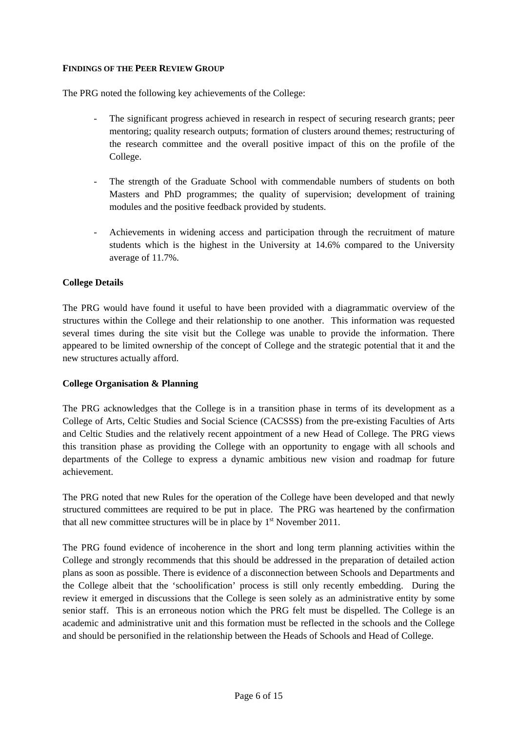#### **FINDINGS OF THE PEER REVIEW GROUP**

The PRG noted the following key achievements of the College:

- The significant progress achieved in research in respect of securing research grants; peer mentoring; quality research outputs; formation of clusters around themes; restructuring of the research committee and the overall positive impact of this on the profile of the College.
- The strength of the Graduate School with commendable numbers of students on both Masters and PhD programmes; the quality of supervision; development of training modules and the positive feedback provided by students.
- Achievements in widening access and participation through the recruitment of mature students which is the highest in the University at 14.6% compared to the University average of 11.7%.

#### **College Details**

The PRG would have found it useful to have been provided with a diagrammatic overview of the structures within the College and their relationship to one another. This information was requested several times during the site visit but the College was unable to provide the information. There appeared to be limited ownership of the concept of College and the strategic potential that it and the new structures actually afford.

#### **College Organisation & Planning**

The PRG acknowledges that the College is in a transition phase in terms of its development as a College of Arts, Celtic Studies and Social Science (CACSSS) from the pre-existing Faculties of Arts and Celtic Studies and the relatively recent appointment of a new Head of College. The PRG views this transition phase as providing the College with an opportunity to engage with all schools and departments of the College to express a dynamic ambitious new vision and roadmap for future achievement.

The PRG noted that new Rules for the operation of the College have been developed and that newly structured committees are required to be put in place. The PRG was heartened by the confirmation that all new committee structures will be in place by  $1<sup>st</sup>$  November 2011.

The PRG found evidence of incoherence in the short and long term planning activities within the College and strongly recommends that this should be addressed in the preparation of detailed action plans as soon as possible. There is evidence of a disconnection between Schools and Departments and the College albeit that the 'schoolification' process is still only recently embedding. During the review it emerged in discussions that the College is seen solely as an administrative entity by some senior staff. This is an erroneous notion which the PRG felt must be dispelled. The College is an academic and administrative unit and this formation must be reflected in the schools and the College and should be personified in the relationship between the Heads of Schools and Head of College.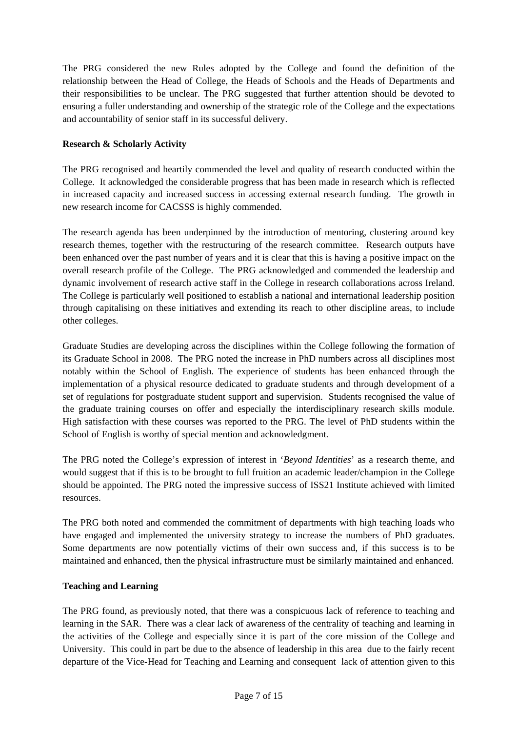The PRG considered the new Rules adopted by the College and found the definition of the relationship between the Head of College, the Heads of Schools and the Heads of Departments and their responsibilities to be unclear. The PRG suggested that further attention should be devoted to ensuring a fuller understanding and ownership of the strategic role of the College and the expectations and accountability of senior staff in its successful delivery.

#### **Research & Scholarly Activity**

The PRG recognised and heartily commended the level and quality of research conducted within the College. It acknowledged the considerable progress that has been made in research which is reflected in increased capacity and increased success in accessing external research funding. The growth in new research income for CACSSS is highly commended.

The research agenda has been underpinned by the introduction of mentoring, clustering around key research themes, together with the restructuring of the research committee. Research outputs have been enhanced over the past number of years and it is clear that this is having a positive impact on the overall research profile of the College. The PRG acknowledged and commended the leadership and dynamic involvement of research active staff in the College in research collaborations across Ireland. The College is particularly well positioned to establish a national and international leadership position through capitalising on these initiatives and extending its reach to other discipline areas, to include other colleges.

Graduate Studies are developing across the disciplines within the College following the formation of its Graduate School in 2008. The PRG noted the increase in PhD numbers across all disciplines most notably within the School of English. The experience of students has been enhanced through the implementation of a physical resource dedicated to graduate students and through development of a set of regulations for postgraduate student support and supervision. Students recognised the value of the graduate training courses on offer and especially the interdisciplinary research skills module. High satisfaction with these courses was reported to the PRG. The level of PhD students within the School of English is worthy of special mention and acknowledgment.

The PRG noted the College's expression of interest in '*Beyond Identities*' as a research theme, and would suggest that if this is to be brought to full fruition an academic leader/champion in the College should be appointed. The PRG noted the impressive success of ISS21 Institute achieved with limited resources.

The PRG both noted and commended the commitment of departments with high teaching loads who have engaged and implemented the university strategy to increase the numbers of PhD graduates. Some departments are now potentially victims of their own success and, if this success is to be maintained and enhanced, then the physical infrastructure must be similarly maintained and enhanced.

#### **Teaching and Learning**

The PRG found, as previously noted, that there was a conspicuous lack of reference to teaching and learning in the SAR. There was a clear lack of awareness of the centrality of teaching and learning in the activities of the College and especially since it is part of the core mission of the College and University. This could in part be due to the absence of leadership in this area due to the fairly recent departure of the Vice-Head for Teaching and Learning and consequent lack of attention given to this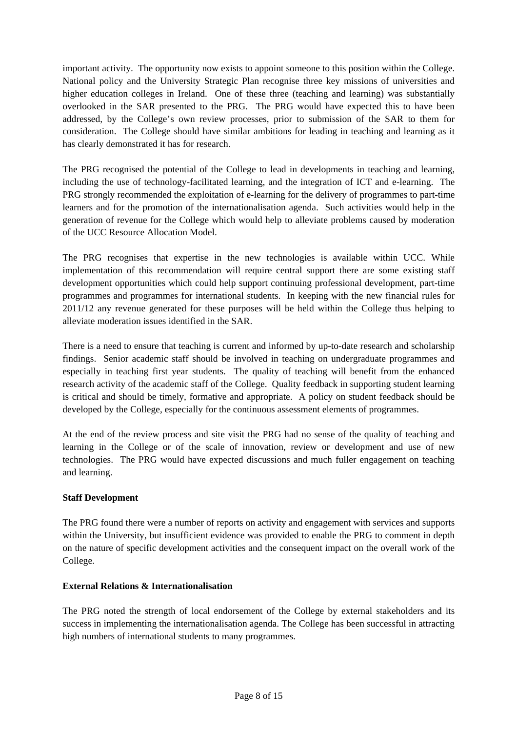important activity. The opportunity now exists to appoint someone to this position within the College. National policy and the University Strategic Plan recognise three key missions of universities and higher education colleges in Ireland. One of these three (teaching and learning) was substantially overlooked in the SAR presented to the PRG. The PRG would have expected this to have been addressed, by the College's own review processes, prior to submission of the SAR to them for consideration. The College should have similar ambitions for leading in teaching and learning as it has clearly demonstrated it has for research.

The PRG recognised the potential of the College to lead in developments in teaching and learning, including the use of technology-facilitated learning, and the integration of ICT and e-learning. The PRG strongly recommended the exploitation of e-learning for the delivery of programmes to part-time learners and for the promotion of the internationalisation agenda. Such activities would help in the generation of revenue for the College which would help to alleviate problems caused by moderation of the UCC Resource Allocation Model.

The PRG recognises that expertise in the new technologies is available within UCC. While implementation of this recommendation will require central support there are some existing staff development opportunities which could help support continuing professional development, part-time programmes and programmes for international students. In keeping with the new financial rules for 2011/12 any revenue generated for these purposes will be held within the College thus helping to alleviate moderation issues identified in the SAR.

There is a need to ensure that teaching is current and informed by up-to-date research and scholarship findings. Senior academic staff should be involved in teaching on undergraduate programmes and especially in teaching first year students. The quality of teaching will benefit from the enhanced research activity of the academic staff of the College. Quality feedback in supporting student learning is critical and should be timely, formative and appropriate. A policy on student feedback should be developed by the College, especially for the continuous assessment elements of programmes.

At the end of the review process and site visit the PRG had no sense of the quality of teaching and learning in the College or of the scale of innovation, review or development and use of new technologies. The PRG would have expected discussions and much fuller engagement on teaching and learning.

#### **Staff Development**

The PRG found there were a number of reports on activity and engagement with services and supports within the University, but insufficient evidence was provided to enable the PRG to comment in depth on the nature of specific development activities and the consequent impact on the overall work of the College.

#### **External Relations & Internationalisation**

The PRG noted the strength of local endorsement of the College by external stakeholders and its success in implementing the internationalisation agenda. The College has been successful in attracting high numbers of international students to many programmes.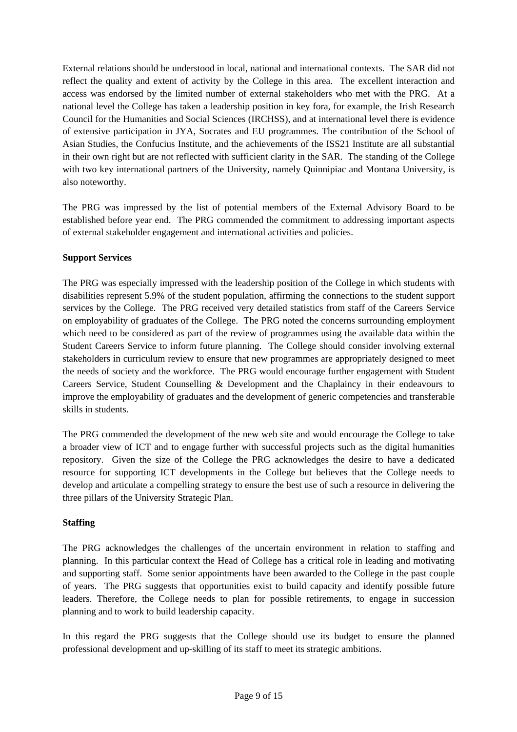External relations should be understood in local, national and international contexts. The SAR did not reflect the quality and extent of activity by the College in this area. The excellent interaction and access was endorsed by the limited number of external stakeholders who met with the PRG. At a national level the College has taken a leadership position in key fora, for example, the Irish Research Council for the Humanities and Social Sciences (IRCHSS), and at international level there is evidence of extensive participation in JYA, Socrates and EU programmes. The contribution of the School of Asian Studies, the Confucius Institute, and the achievements of the ISS21 Institute are all substantial in their own right but are not reflected with sufficient clarity in the SAR. The standing of the College with two key international partners of the University, namely Quinnipiac and Montana University, is also noteworthy.

The PRG was impressed by the list of potential members of the External Advisory Board to be established before year end. The PRG commended the commitment to addressing important aspects of external stakeholder engagement and international activities and policies.

#### **Support Services**

The PRG was especially impressed with the leadership position of the College in which students with disabilities represent 5.9% of the student population, affirming the connections to the student support services by the College. The PRG received very detailed statistics from staff of the Careers Service on employability of graduates of the College. The PRG noted the concerns surrounding employment which need to be considered as part of the review of programmes using the available data within the Student Careers Service to inform future planning. The College should consider involving external stakeholders in curriculum review to ensure that new programmes are appropriately designed to meet the needs of society and the workforce. The PRG would encourage further engagement with Student Careers Service, Student Counselling & Development and the Chaplaincy in their endeavours to improve the employability of graduates and the development of generic competencies and transferable skills in students.

The PRG commended the development of the new web site and would encourage the College to take a broader view of ICT and to engage further with successful projects such as the digital humanities repository. Given the size of the College the PRG acknowledges the desire to have a dedicated resource for supporting ICT developments in the College but believes that the College needs to develop and articulate a compelling strategy to ensure the best use of such a resource in delivering the three pillars of the University Strategic Plan.

#### **Staffing**

The PRG acknowledges the challenges of the uncertain environment in relation to staffing and planning. In this particular context the Head of College has a critical role in leading and motivating and supporting staff. Some senior appointments have been awarded to the College in the past couple of years. The PRG suggests that opportunities exist to build capacity and identify possible future leaders. Therefore, the College needs to plan for possible retirements, to engage in succession planning and to work to build leadership capacity.

In this regard the PRG suggests that the College should use its budget to ensure the planned professional development and up-skilling of its staff to meet its strategic ambitions.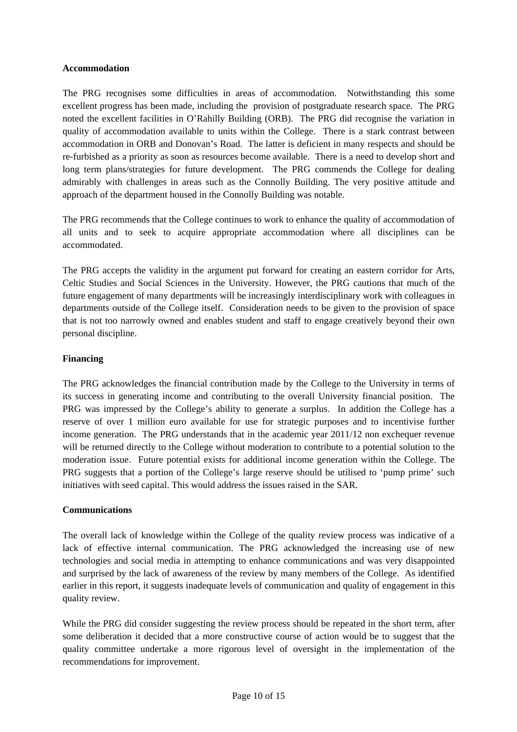#### **Accommodation**

The PRG recognises some difficulties in areas of accommodation. Notwithstanding this some excellent progress has been made, including the provision of postgraduate research space. The PRG noted the excellent facilities in O'Rahilly Building (ORB). The PRG did recognise the variation in quality of accommodation available to units within the College. There is a stark contrast between accommodation in ORB and Donovan's Road. The latter is deficient in many respects and should be re-furbished as a priority as soon as resources become available. There is a need to develop short and long term plans/strategies for future development. The PRG commends the College for dealing admirably with challenges in areas such as the Connolly Building. The very positive attitude and approach of the department housed in the Connolly Building was notable.

The PRG recommends that the College continues to work to enhance the quality of accommodation of all units and to seek to acquire appropriate accommodation where all disciplines can be accommodated.

The PRG accepts the validity in the argument put forward for creating an eastern corridor for Arts, Celtic Studies and Social Sciences in the University. However, the PRG cautions that much of the future engagement of many departments will be increasingly interdisciplinary work with colleagues in departments outside of the College itself. Consideration needs to be given to the provision of space that is not too narrowly owned and enables student and staff to engage creatively beyond their own personal discipline.

#### **Financing**

The PRG acknowledges the financial contribution made by the College to the University in terms of its success in generating income and contributing to the overall University financial position. The PRG was impressed by the College's ability to generate a surplus. In addition the College has a reserve of over 1 million euro available for use for strategic purposes and to incentivise further income generation. The PRG understands that in the academic year 2011/12 non exchequer revenue will be returned directly to the College without moderation to contribute to a potential solution to the moderation issue. Future potential exists for additional income generation within the College. The PRG suggests that a portion of the College's large reserve should be utilised to 'pump prime' such initiatives with seed capital. This would address the issues raised in the SAR.

#### **Communications**

The overall lack of knowledge within the College of the quality review process was indicative of a lack of effective internal communication. The PRG acknowledged the increasing use of new technologies and social media in attempting to enhance communications and was very disappointed and surprised by the lack of awareness of the review by many members of the College. As identified earlier in this report, it suggests inadequate levels of communication and quality of engagement in this quality review.

While the PRG did consider suggesting the review process should be repeated in the short term, after some deliberation it decided that a more constructive course of action would be to suggest that the quality committee undertake a more rigorous level of oversight in the implementation of the recommendations for improvement.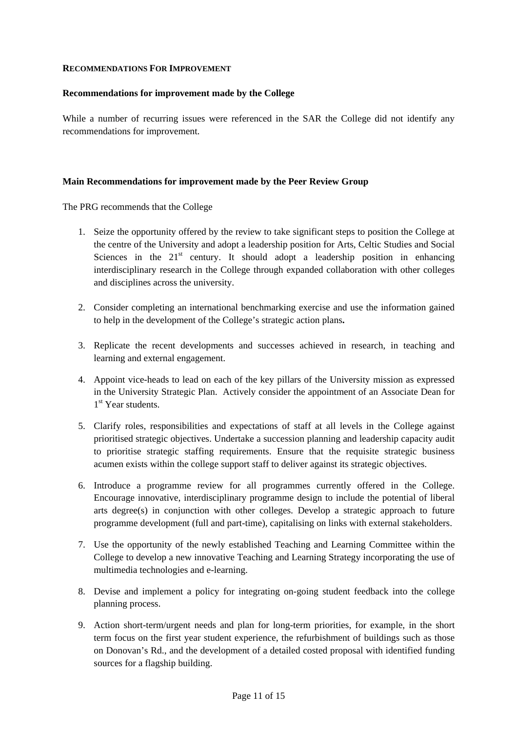#### **RECOMMENDATIONS FOR IMPROVEMENT**

#### **Recommendations for improvement made by the College**

While a number of recurring issues were referenced in the SAR the College did not identify any recommendations for improvement.

#### **Main Recommendations for improvement made by the Peer Review Group**

The PRG recommends that the College

- 1. Seize the opportunity offered by the review to take significant steps to position the College at the centre of the University and adopt a leadership position for Arts, Celtic Studies and Social Sciences in the  $21<sup>st</sup>$  century. It should adopt a leadership position in enhancing interdisciplinary research in the College through expanded collaboration with other colleges and disciplines across the university.
- 2. Consider completing an international benchmarking exercise and use the information gained to help in the development of the College's strategic action plans**.**
- 3. Replicate the recent developments and successes achieved in research, in teaching and learning and external engagement.
- 4. Appoint vice-heads to lead on each of the key pillars of the University mission as expressed in the University Strategic Plan. Actively consider the appointment of an Associate Dean for 1<sup>st</sup> Year students.
- 5. Clarify roles, responsibilities and expectations of staff at all levels in the College against prioritised strategic objectives. Undertake a succession planning and leadership capacity audit to prioritise strategic staffing requirements. Ensure that the requisite strategic business acumen exists within the college support staff to deliver against its strategic objectives.
- 6. Introduce a programme review for all programmes currently offered in the College. Encourage innovative, interdisciplinary programme design to include the potential of liberal arts degree(s) in conjunction with other colleges. Develop a strategic approach to future programme development (full and part-time), capitalising on links with external stakeholders.
- 7. Use the opportunity of the newly established Teaching and Learning Committee within the College to develop a new innovative Teaching and Learning Strategy incorporating the use of multimedia technologies and e-learning.
- 8. Devise and implement a policy for integrating on-going student feedback into the college planning process.
- 9. Action short-term/urgent needs and plan for long-term priorities, for example, in the short term focus on the first year student experience, the refurbishment of buildings such as those on Donovan's Rd., and the development of a detailed costed proposal with identified funding sources for a flagship building.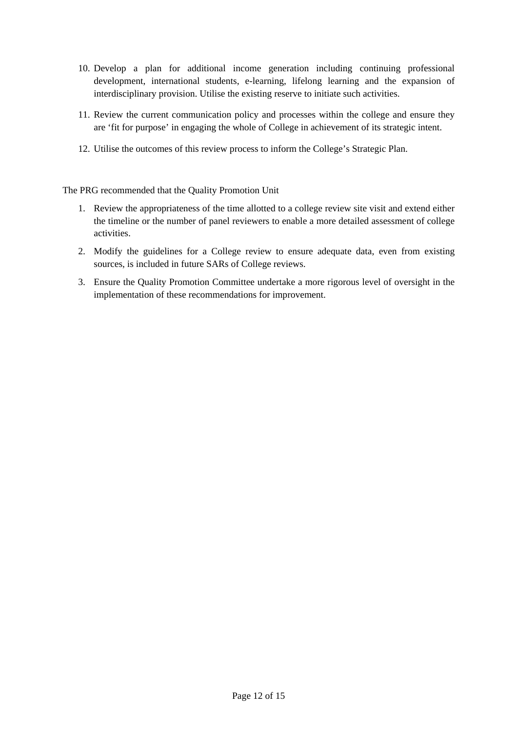- 10. Develop a plan for additional income generation including continuing professional development, international students, e-learning, lifelong learning and the expansion of interdisciplinary provision. Utilise the existing reserve to initiate such activities.
- 11. Review the current communication policy and processes within the college and ensure they are 'fit for purpose' in engaging the whole of College in achievement of its strategic intent.
- 12. Utilise the outcomes of this review process to inform the College's Strategic Plan.

The PRG recommended that the Quality Promotion Unit

- 1. Review the appropriateness of the time allotted to a college review site visit and extend either the timeline or the number of panel reviewers to enable a more detailed assessment of college activities.
- 2. Modify the guidelines for a College review to ensure adequate data, even from existing sources, is included in future SARs of College reviews.
- 3. Ensure the Quality Promotion Committee undertake a more rigorous level of oversight in the implementation of these recommendations for improvement.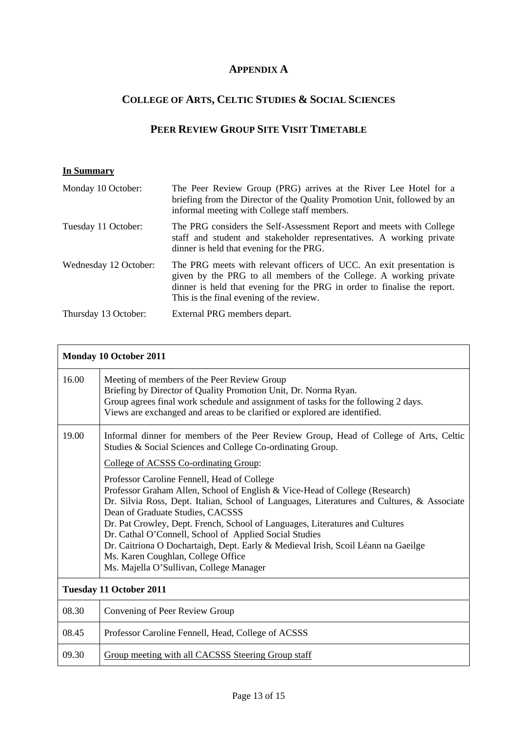### **APPENDIX A**

## **COLLEGE OF ARTS, CELTIC STUDIES & SOCIAL SCIENCES**

### **PEER REVIEW GROUP SITE VISIT TIMETABLE**

#### **In Summary**

| Monday 10 October:    | The Peer Review Group (PRG) arrives at the River Lee Hotel for a<br>briefing from the Director of the Quality Promotion Unit, followed by an<br>informal meeting with College staff members.                                                                      |
|-----------------------|-------------------------------------------------------------------------------------------------------------------------------------------------------------------------------------------------------------------------------------------------------------------|
| Tuesday 11 October:   | The PRG considers the Self-Assessment Report and meets with College<br>staff and student and stakeholder representatives. A working private<br>dinner is held that evening for the PRG.                                                                           |
| Wednesday 12 October: | The PRG meets with relevant officers of UCC. An exit presentation is<br>given by the PRG to all members of the College. A working private<br>dinner is held that evening for the PRG in order to finalise the report.<br>This is the final evening of the review. |
| Thursday 13 October:  | External PRG members depart.                                                                                                                                                                                                                                      |

| <b>Monday 10 October 2011</b> |                                                                                                                                                                                                                                                                                                                                                                                                                                                                                                                                                                              |  |
|-------------------------------|------------------------------------------------------------------------------------------------------------------------------------------------------------------------------------------------------------------------------------------------------------------------------------------------------------------------------------------------------------------------------------------------------------------------------------------------------------------------------------------------------------------------------------------------------------------------------|--|
| 16.00                         | Meeting of members of the Peer Review Group<br>Briefing by Director of Quality Promotion Unit, Dr. Norma Ryan.<br>Group agrees final work schedule and assignment of tasks for the following 2 days.<br>Views are exchanged and areas to be clarified or explored are identified.                                                                                                                                                                                                                                                                                            |  |
| 19.00                         | Informal dinner for members of the Peer Review Group, Head of College of Arts, Celtic<br>Studies & Social Sciences and College Co-ordinating Group.                                                                                                                                                                                                                                                                                                                                                                                                                          |  |
|                               | College of ACSSS Co-ordinating Group:                                                                                                                                                                                                                                                                                                                                                                                                                                                                                                                                        |  |
|                               | Professor Caroline Fennell, Head of College<br>Professor Graham Allen, School of English & Vice-Head of College (Research)<br>Dr. Silvia Ross, Dept. Italian, School of Languages, Literatures and Cultures, & Associate<br>Dean of Graduate Studies, CACSSS<br>Dr. Pat Crowley, Dept. French, School of Languages, Literatures and Cultures<br>Dr. Cathal O'Connell, School of Applied Social Studies<br>Dr. Caitriona O Dochartaigh, Dept. Early & Medieval Irish, Scoil Léann na Gaeilge<br>Ms. Karen Coughlan, College Office<br>Ms. Majella O'Sullivan, College Manager |  |
|                               | <b>Tuesday 11 October 2011</b>                                                                                                                                                                                                                                                                                                                                                                                                                                                                                                                                               |  |
| 08.30                         | Convening of Peer Review Group                                                                                                                                                                                                                                                                                                                                                                                                                                                                                                                                               |  |
| 08.45                         | Professor Caroline Fennell, Head, College of ACSSS                                                                                                                                                                                                                                                                                                                                                                                                                                                                                                                           |  |
| 09.30                         | Group meeting with all CACSSS Steering Group staff                                                                                                                                                                                                                                                                                                                                                                                                                                                                                                                           |  |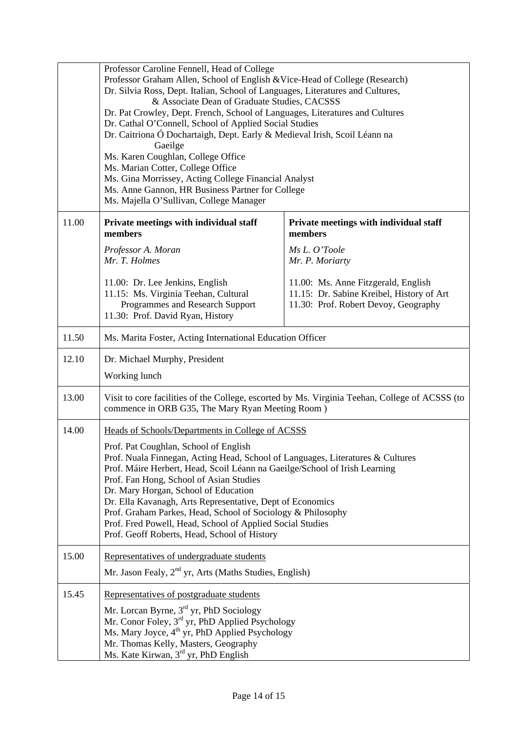|       | Professor Caroline Fennell, Head of College<br>Professor Graham Allen, School of English & Vice-Head of College (Research)<br>Dr. Silvia Ross, Dept. Italian, School of Languages, Literatures and Cultures,<br>& Associate Dean of Graduate Studies, CACSSS<br>Dr. Pat Crowley, Dept. French, School of Languages, Literatures and Cultures<br>Dr. Cathal O'Connell, School of Applied Social Studies<br>Dr. Caitriona Ó Dochartaigh, Dept. Early & Medieval Irish, Scoil Léann na<br>Gaeilge<br>Ms. Karen Coughlan, College Office |                                                                                                                          |  |
|-------|--------------------------------------------------------------------------------------------------------------------------------------------------------------------------------------------------------------------------------------------------------------------------------------------------------------------------------------------------------------------------------------------------------------------------------------------------------------------------------------------------------------------------------------|--------------------------------------------------------------------------------------------------------------------------|--|
|       | Ms. Marian Cotter, College Office<br>Ms. Gina Morrissey, Acting College Financial Analyst<br>Ms. Anne Gannon, HR Business Partner for College<br>Ms. Majella O'Sullivan, College Manager                                                                                                                                                                                                                                                                                                                                             |                                                                                                                          |  |
| 11.00 | Private meetings with individual staff<br>members                                                                                                                                                                                                                                                                                                                                                                                                                                                                                    | Private meetings with individual staff<br>members                                                                        |  |
|       | Professor A. Moran<br>Mr. T. Holmes                                                                                                                                                                                                                                                                                                                                                                                                                                                                                                  | Ms L. O'Toole<br>Mr. P. Moriarty                                                                                         |  |
|       | 11.00: Dr. Lee Jenkins, English<br>11.15: Ms. Virginia Teehan, Cultural<br>Programmes and Research Support<br>11.30: Prof. David Ryan, History                                                                                                                                                                                                                                                                                                                                                                                       | 11.00: Ms. Anne Fitzgerald, English<br>11.15: Dr. Sabine Kreibel, History of Art<br>11.30: Prof. Robert Devoy, Geography |  |
| 11.50 | Ms. Marita Foster, Acting International Education Officer                                                                                                                                                                                                                                                                                                                                                                                                                                                                            |                                                                                                                          |  |
| 12.10 | Dr. Michael Murphy, President                                                                                                                                                                                                                                                                                                                                                                                                                                                                                                        |                                                                                                                          |  |
|       | Working lunch                                                                                                                                                                                                                                                                                                                                                                                                                                                                                                                        |                                                                                                                          |  |
| 13.00 | Visit to core facilities of the College, escorted by Ms. Virginia Teehan, College of ACSSS (to<br>commence in ORB G35, The Mary Ryan Meeting Room)                                                                                                                                                                                                                                                                                                                                                                                   |                                                                                                                          |  |
| 14.00 | Heads of Schools/Departments in College of ACSSS                                                                                                                                                                                                                                                                                                                                                                                                                                                                                     |                                                                                                                          |  |
|       | Prof. Pat Coughlan, School of English<br>Prof. Nuala Finnegan, Acting Head, School of Languages, Literatures & Cultures<br>Prof. Máire Herbert, Head, Scoil Léann na Gaeilge/School of Irish Learning<br>Prof. Fan Hong, School of Asian Studies<br>Dr. Mary Horgan, School of Education<br>Dr. Ella Kavanagh, Arts Representative, Dept of Economics<br>Prof. Graham Parkes, Head, School of Sociology & Philosophy<br>Prof. Fred Powell, Head, School of Applied Social Studies<br>Prof. Geoff Roberts, Head, School of History    |                                                                                                                          |  |
| 15.00 | Representatives of undergraduate students                                                                                                                                                                                                                                                                                                                                                                                                                                                                                            |                                                                                                                          |  |
|       | Mr. Jason Fealy, $2nd$ yr, Arts (Maths Studies, English)                                                                                                                                                                                                                                                                                                                                                                                                                                                                             |                                                                                                                          |  |
| 15.45 | Representatives of postgraduate students<br>Mr. Lorcan Byrne, 3 <sup>rd</sup> yr, PhD Sociology                                                                                                                                                                                                                                                                                                                                                                                                                                      |                                                                                                                          |  |
|       | Mr. Conor Foley, 3rd yr, PhD Applied Psychology<br>Ms. Mary Joyce, 4 <sup>th</sup> yr, PhD Applied Psychology                                                                                                                                                                                                                                                                                                                                                                                                                        |                                                                                                                          |  |
|       | Mr. Thomas Kelly, Masters, Geography<br>Ms. Kate Kirwan, 3 <sup>rd</sup> yr, PhD English                                                                                                                                                                                                                                                                                                                                                                                                                                             |                                                                                                                          |  |